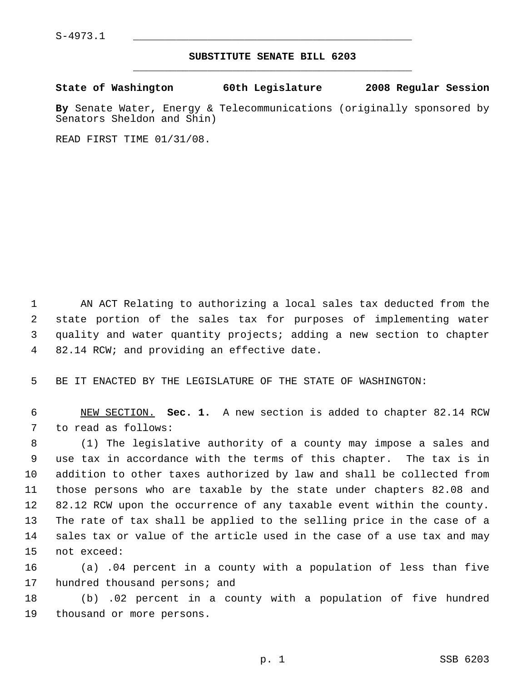$S-4973.1$ 

## **SUBSTITUTE SENATE BILL 6203** \_\_\_\_\_\_\_\_\_\_\_\_\_\_\_\_\_\_\_\_\_\_\_\_\_\_\_\_\_\_\_\_\_\_\_\_\_\_\_\_\_\_\_\_\_

|  | State of Washington | 60th Legislature | 2008 Regular Session |  |
|--|---------------------|------------------|----------------------|--|
|  |                     |                  |                      |  |

**By** Senate Water, Energy & Telecommunications (originally sponsored by Senators Sheldon and Shin)

READ FIRST TIME 01/31/08.

 AN ACT Relating to authorizing a local sales tax deducted from the state portion of the sales tax for purposes of implementing water quality and water quantity projects; adding a new section to chapter 82.14 RCW; and providing an effective date.

BE IT ENACTED BY THE LEGISLATURE OF THE STATE OF WASHINGTON:

 NEW SECTION. **Sec. 1.** A new section is added to chapter 82.14 RCW to read as follows:

 (1) The legislative authority of a county may impose a sales and use tax in accordance with the terms of this chapter. The tax is in addition to other taxes authorized by law and shall be collected from those persons who are taxable by the state under chapters 82.08 and 82.12 RCW upon the occurrence of any taxable event within the county. The rate of tax shall be applied to the selling price in the case of a sales tax or value of the article used in the case of a use tax and may not exceed:

 (a) .04 percent in a county with a population of less than five 17 hundred thousand persons; and

 (b) .02 percent in a county with a population of five hundred thousand or more persons.